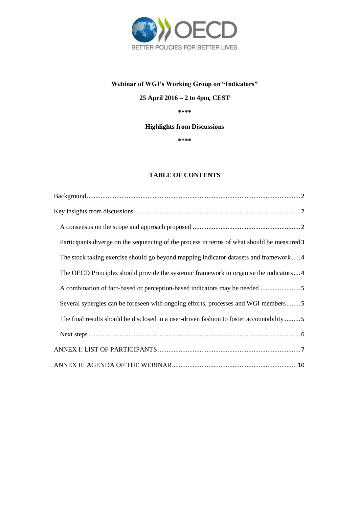

# **Webinar of WGI's Working Group on "Indicators"**

# **25 April 2016 – 2 to 4pm, CEST**

**\*\*\*\***

## **Highlights from Discussions**

**\*\*\*\***

## **TABLE OF CONTENTS**

| Participants diverge on the sequencing of the process in terms of what should be measured 3 |
|---------------------------------------------------------------------------------------------|
| The stock taking exercise should go beyond mapping indicator datasets and framework4        |
| The OECD Principles should provide the systemic framework to organise the indicators4       |
| A combination of fact-based or perception-based indicators may be needed 5                  |
| Several synergies can be foreseen with ongoing efforts, processes and WGI members5          |
| The final results should be disclosed in a user-driven fashion to foster accountability 5   |
|                                                                                             |
|                                                                                             |
|                                                                                             |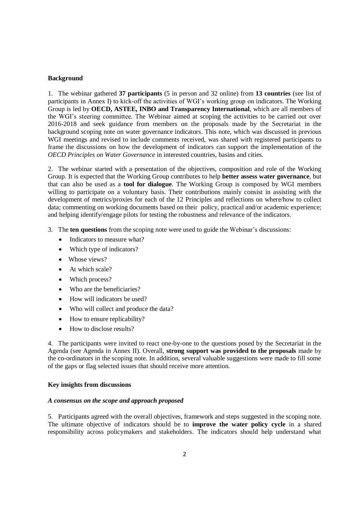### <span id="page-1-0"></span>**Background**

1. The webinar gathered **37 participants** (5 in person and 32 online) from **13 countries** (see list of participants in Annex I) to kick-off the activities of WGI's working group on indicators. The Working Group is led by **OECD, ASTEE, INBO and Transparency International**, which are all members of the WGI's steering committee. The Webinar aimed at scoping the activities to be carried out over 2016-2018 and seek guidance from members on the proposals made by the Secretariat in the background scoping note on water governance indicators. This note, which was discussed in previous WGI meetings and revised to include comments received, was shared with registered participants to frame the discussions on how the development of indicators can support the implementation of the *OECD Principles on Water Governance* in interested countries, basins and cities.

2. The webinar started with a presentation of the objectives, composition and role of the Working Group. It is expected that the Working Group contributes to help **better assess water governance**, but that can also be used as a **tool for dialogue**. The Working Group is composed by WGI members willing to participate on a voluntary basis. Their contributions mainly consist in assisting with the development of metrics/proxies for each of the 12 Principles and reflections on where/how to collect data; commenting on working documents based on their policy, practical and/or academic experience; and helping identify/engage pilots for testing the robustness and relevance of the indicators.

- 3. The **ten questions** from the scoping note were used to guide the Webinar's discussions:
	- Indicators to measure what?
	- Which type of indicators?
	- Whose views?
	- At which scale?
	- Which process?
	- Who are the beneficiaries?
	- How will indicators be used?
	- Who will collect and produce the data?
	- How to ensure replicability?
	- How to disclose results?

4. The participants were invited to react one-by-one to the questions posed by the Secretariat in the Agenda (see Agenda in Annex II). Overall, **strong support was provided to the proposals** made by the co-ordinators in the scoping note. In addition, several valuable suggestions were made to fill some of the gaps or flag selected issues that should receive more attention.

### <span id="page-1-1"></span>**Key insights from discussions**

#### <span id="page-1-2"></span>*A consensus on the scope and approach proposed*

5. Participants agreed with the overall objectives, framework and steps suggested in the scoping note. The ultimate objective of indicators should be to **improve the water policy cycle** in a shared responsibility across policymakers and stakeholders. The indicators should help understand what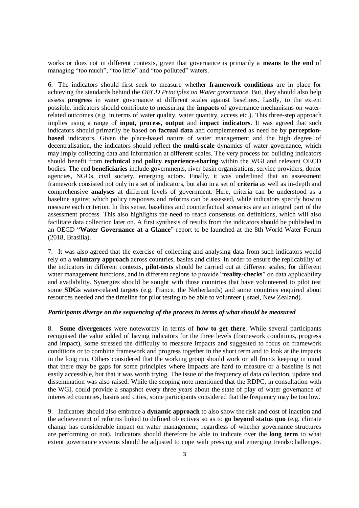works or does not in different contexts, given that governance is primarily a **means to the end** of managing "too much", "too little" and "too polluted" waters.

6. The indicators should first seek to measure whether **framework conditions** are in place for achieving the standards behind the *OECD Principles on Water governance*. But, they should also help assess **progress** in water governance at different scales against baselines. Lastly, to the extent possible, indicators should contribute to measuring the **impacts** of governance mechanisms on waterrelated outcomes (e.g. in terms of water quality, water quantity, access etc.). This three-step approach implies using a range of **input, process, output** and **impact indicators**. It was agreed that such indicators should primarily be based on **factual data** and complemented as need be by **perceptionbased** indicators. Given the place-based nature of water management and the high degree of decentralisation, the indicators should reflect the **multi-scale** dynamics of water governance, which may imply collecting data and information at different scales. The very process for building indicators should benefit from **technical** and **policy experience-sharing** within the WGI and relevant OECD bodies. The end **beneficiaries** include governments, river basin organisations, service providers, donor agencies, NGOs, civil society, emerging actors. Finally, it was underlined that an assessment framework consisted not only in a set of indicators, but also in a set of **criteria** as well as in-depth and comprehensive **analyses** at different levels of government. Here, criteria can be understood as a baseline against which policy responses and reforms can be assessed, while indicators specify how to measure each criterion. In this sense, baselines and counterfactual scenarios are an integral part of the assessment process. This also highlights the need to reach consensus on definitions, which will also facilitate data collection later on. A first synthesis of results from the indicators should be published in an OECD "**Water Governance at a Glance**" report to be launched at the 8th World Water Forum (2018, Brasilia).

7. It was also agreed that the exercise of collecting and analysing data from such indicators would rely on a **voluntary approach** across countries, basins and cities. In order to ensure the replicability of the indicators in different contexts, **pilot-tests** should be carried out at different scales, for different water management functions, and in different regions to provide "**reality-checks**" on data applicability and availability. Synergies should be sought with those countries that have volunteered to pilot test some **SDGs** water-related targets (e.g. France, the Netherlands) and some countries enquired about resources needed and the timeline for pilot testing to be able to volunteer (Israel, New Zealand).

#### <span id="page-2-0"></span>*Participants diverge on the sequencing of the process in terms of what should be measured*

8. **Some divergences** were noteworthy in terms of **how to get there**. While several participants recognised the value added of having indicators for the three levels (framework conditions, progress and impact), some stressed the difficulty to measure impacts and suggested to focus on framework conditions or to combine framework and progress together in the short term and to look at the impacts in the long run. Others considered that the working group should work on all fronts keeping in mind that there may be gaps for some principles where impacts are hard to measure or a baseline is not easily accessible, but that it was worth trying. The issue of the frequency of data collection, update and dissemination was also raised. While the scoping note mentioned that the RDPC, in consultation with the WGI, could provide a snapshot every three years about the state of play of water governance of interested countries, basins and cities, some participants considered that the frequency may be too low.

9. Indicators should also embrace a **dynamic approach** to also show the risk and cost of inaction and the achievement of reforms linked to defined objectives so as to **go beyond status quo** (e.g. climate change has considerable impact on water management, regardless of whether governance structures are performing or not). Indicators should therefore be able to indicate over the **long term** to what extent governance systems should be adjusted to cope with pressing and emerging trends/challenges.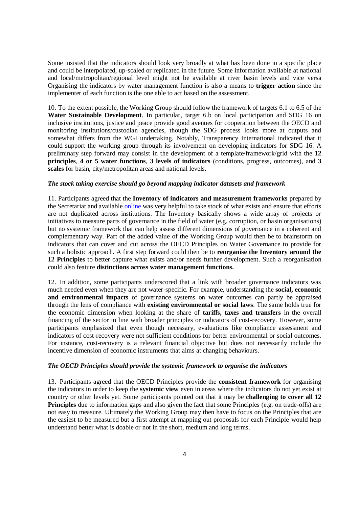Some insisted that the indicators should look very broadly at what has been done in a specific place and could be interpolated, up-scaled or replicated in the future. Some information available at national and local/metropolitan/regional level might not be available at river basin levels and vice versa Organising the indicators by water management function is also a means to **trigger action** since the implementer of each function is the one able to act based on the assessment.

10. To the extent possible, the Working Group should follow the framework of targets 6.1 to 6.5 of the **Water Sustainable Development**. In particular, target 6.b on local participation and SDG 16 on inclusive institutions, justice and peace provide good avenues for cooperation between the OECD and monitoring institutions/custodian agencies, though the SDG process looks more at outputs and somewhat differs from the WGI undertaking. Notably, Transparency International indicated that it could support the working group through its involvement on developing indicators for SDG 16. A preliminary step forward may consist in the development of a template/framework/grid with the **12 principles**, **4 or 5 water functions**, **3 levels of indicators** (conditions, progress, outcomes), and **3 scales** for basin, city/metropolitan areas and national levels.

### <span id="page-3-0"></span>*The stock taking exercise should go beyond mapping indicator datasets and framework*

11. Participants agreed that the **Inventory of indicators and measurement frameworks** prepared by the Secretariat and available [online](https://www.oecd.org/gov/regional-policy/Inventory_Indicators.pdf) was very helpful to take stock of what exists and ensure that efforts are not duplicated across institutions. The Inventory basically shows a wide array of projects or initiatives to measure parts of governance in the field of water (e.g. corruption, or basin organisations) but no systemic framework that can help assess different dimensions of governance in a coherent and complementary way. Part of the added value of the Working Group would then be to brainstorm on indicators that can cover and cut across the OECD Principles on Water Governance to provide for such a holistic approach. A first step forward could then be to **reorganise the Inventory around the 12 Principles** to better capture what exists and/or needs further development. Such a reorganisation could also feature **distinctions across water management functions.** 

12. In addition, some participants underscored that a link with broader governance indicators was much needed even when they are not water-specific. For example, understanding the **social, economic and environmental impacts** of governance systems on water outcomes can partly be appraised through the lens of compliance with **existing environmental or social laws**. The same holds true for the economic dimension when looking at the share of **tariffs, taxes and transfers** in the overall financing of the sector in line with broader principles or indicators of cost-recovery. However, some participants emphasized that even though necessary, evaluations like compliance assessment and indicators of cost-recovery were not sufficient conditions for better environmental or social outcomes. For instance, cost-recovery is a relevant financial objective but does not necessarily include the incentive dimension of economic instruments that aims at changing behaviours.

#### <span id="page-3-1"></span>*The OECD Principles should provide the systemic framework to organise the indicators*

13. Participants agreed that the OECD Principles provide the **consistent framework** for organising the indicators in order to keep the **systemic view** even in areas where the indicators do not yet exist at country or other levels yet. Some participants pointed out that it may be **challenging to cover all 12 Principles** due to information gaps and also given the fact that some Principles (e.g. on trade-offs) are not easy to measure. Ultimately the Working Group may then have to focus on the Principles that are the easiest to be measured but a first attempt at mapping out proposals for each Principle would help understand better what is doable or not in the short, medium and long terms.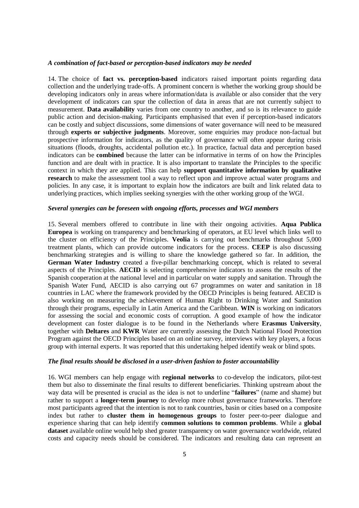### <span id="page-4-0"></span>*A combination of fact-based or perception-based indicators may be needed*

14. The choice of **fact vs. perception-based** indicators raised important points regarding data collection and the underlying trade-offs. A prominent concern is whether the working group should be developing indicators only in areas where information/data is available or also consider that the very development of indicators can spur the collection of data in areas that are not currently subject to measurement. **Data availability** varies from one country to another, and so is its relevance to guide public action and decision-making. Participants emphasised that even if perception-based indicators can be costly and subject discussions, some dimensions of water governance will need to be measured through **experts or subjective judgments**. Moreover, some enquiries may produce non-factual but prospective information for indicators, as the quality of governance will often appear during crisis situations (floods, droughts, accidental pollution etc.). In practice, factual data and perception based indicators can be **combined** because the latter can be informative in terms of on how the Principles function and are dealt with in practice. It is also important to translate the Principles to the specific context in which they are applied. This can help **support quantitative information by qualitative research** to make the assessment tool a way to reflect upon and improve actual water programs and policies. In any case, it is important to explain how the indicators are built and link related data to underlying practices, which implies seeking synergies with the other working group of the WGI.

### <span id="page-4-1"></span>*Several synergies can be foreseen with ongoing efforts, processes and WGI members*

15. Several members offered to contribute in line with their ongoing activities. **Aqua Publica Europea** is working on transparency and benchmarking of operators, at EU level which links well to the cluster on efficiency of the Principles. **Veolia** is carrying out benchmarks throughout 5,000 treatment plants, which can provide outcome indicators for the process. **CEEP** is also discussing benchmarking strategies and is willing to share the knowledge gathered so far. In addition, the **German Water Industry** created a five-pillar benchmarking concept, which is related to several aspects of the Principles. **AECID** is selecting comprehensive indicators to assess the results of the Spanish cooperation at the national level and in particular on water supply and sanitation. Through the Spanish Water Fund, AECID is also carrying out 67 programmes on water and sanitation in 18 countries in LAC where the framework provided by the OECD Principles is being featured. AECID is also working on measuring the achievement of Human Right to Drinking Water and Sanitation through their programs, especially in Latin America and the Caribbean. **WIN** is working on indicators for assessing the social and economic costs of corruption. A good example of how the indicator development can foster dialogue is to be found in the Netherlands where **Erasmus University**, together with **Deltares** and **KWR** Water are currently assessing the Dutch National Flood Protection Program against the OECD Principles based on an online survey, interviews with key players, a focus group with internal experts. It was reported that this undertaking helped identify weak or blind spots.

### <span id="page-4-2"></span>*The final results should be disclosed in a user-driven fashion to foster accountability*

16. WGI members can help engage with **regional networks** to co-develop the indicators, pilot-test them but also to disseminate the final results to different beneficiaries. Thinking upstream about the way data will be presented is crucial as the idea is not to underline "**failures**" (name and shame) but rather to support a **longer-term journey** to develop more robust governance frameworks. Therefore most participants agreed that the intention is not to rank countries, basin or cities based on a composite index but rather to **cluster them in homogenous groups** to foster peer-to-peer dialogue and experience sharing that can help identify **common solutions to common problems**. While a **global dataset** available online would help shed greater transparency on water governance worldwide, related costs and capacity needs should be considered. The indicators and resulting data can represent an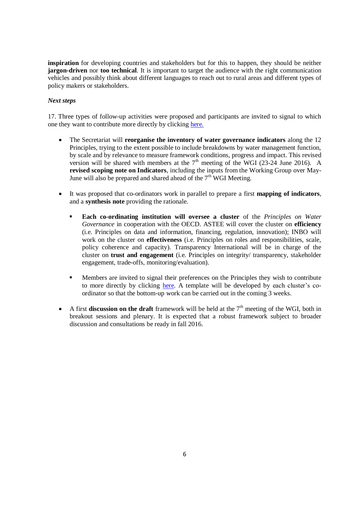**inspiration** for developing countries and stakeholders but for this to happen, they should be neither **jargon-driven** nor **too technical**. It is important to target the audience with the right communication vehicles and possibly think about different languages to reach out to rural areas and different types of policy makers or stakeholders.

## <span id="page-5-0"></span>*Next steps*

17. Three types of follow-up activities were proposed and participants are invited to signal to which one they want to contribute more directly by clicking [here.](http://survey.oecd.org/Survey.aspx?s=665d671916494d2786baeb061783c7aa)

- The Secretariat will **reorganise the inventory of water governance indicators** along the 12 Principles, trying to the extent possible to include breakdowns by water management function, by scale and by relevance to measure framework conditions, progress and impact. This revised version will be shared with members at the  $7<sup>th</sup>$  meeting of the WGI (23-24 June 2016). A **revised scoping note on Indicators**, including the inputs from the Working Group over May-June will also be prepared and shared ahead of the  $7<sup>th</sup>$  WGI Meeting.
- It was proposed that co-ordinators work in parallel to prepare a first **mapping of indicators**, and a **synthesis note** providing the rationale.
	- **Each co-ordinating institution will oversee a cluster** of the *Principles on Water Governance* in cooperation with the OECD. ASTEE will cover the cluster on **efficiency** (i.e. Principles on data and information, financing, regulation, innovation); INBO will work on the cluster on **effectiveness** (i.e. Principles on roles and responsibilities, scale, policy coherence and capacity). Transparency International will be in charge of the cluster on **trust and engagement** (i.e. Principles on integrity/ transparency, stakeholder engagement, trade-offs, monitoring/evaluation).
	- Members are invited to signal their preferences on the Principles they wish to contribute to more directly by clicking [here.](http://survey.oecd.org/Survey.aspx?s=665d671916494d2786baeb061783c7aa) A template will be developed by each cluster's coordinator so that the bottom-up work can be carried out in the coming 3 weeks.
- A first **discussion on the draft** framework will be held at the  $7<sup>th</sup>$  meeting of the WGI, both in breakout sessions and plenary. It is expected that a robust framework subject to broader discussion and consultations be ready in fall 2016.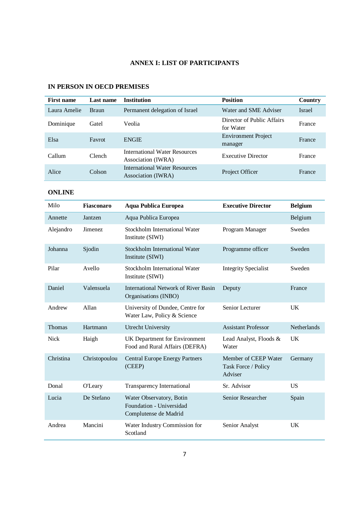# **ANNEX I: LIST OF PARTICIPANTS**

| <b>First name</b> | Last name    | <b>Institution</b>                                  | <b>Position</b>                         | Country       |
|-------------------|--------------|-----------------------------------------------------|-----------------------------------------|---------------|
| Laura Amelie      | <b>Braun</b> | Permanent delegation of Israel                      | Water and SME Adviser                   | <b>Israel</b> |
| Dominique         | Gatel        | Veolia                                              | Director of Public Affairs<br>for Water | France        |
| Elsa              | Favrot       | <b>ENGIE</b>                                        | Environment Project<br>manager          | France        |
| Callum            | Clench       | International Water Resources<br>Association (IWRA) | <b>Executive Director</b>               | France        |
| Alice             | Colson       | International Water Resources<br>Association (IWRA) | Project Officer                         | France        |

## <span id="page-6-0"></span>**IN PERSON IN OECD PREMISES**

## **ONLINE**

| Milo          | <b>Fiasconaro</b> | <b>Aqua Publica Europea</b>                                                   | <b>Executive Director</b>                              | <b>Belgium</b>     |
|---------------|-------------------|-------------------------------------------------------------------------------|--------------------------------------------------------|--------------------|
| Annette       | Jantzen           | Aqua Publica Europea                                                          |                                                        | Belgium            |
| Alejandro     | Jimenez           | Stockholm International Water<br>Institute (SIWI)                             | Program Manager                                        | Sweden             |
| Johanna       | Sjodin            | <b>Stockholm International Water</b><br>Institute (SIWI)                      | Programme officer                                      | Sweden             |
| Pilar         | Avello            | Stockholm International Water<br>Institute (SIWI)                             | <b>Integrity Specialist</b>                            | Sweden             |
| Daniel        | Valensuela        | <b>International Network of River Basin</b><br>Organisations (INBO)           | Deputy                                                 | France             |
| Andrew        | Allan             | University of Dundee, Centre for<br>Water Law, Policy & Science               | Senior Lecturer                                        | UK                 |
| <b>Thomas</b> | Hartmann          | Utrecht University                                                            | <b>Assistant Professor</b>                             | <b>Netherlands</b> |
| <b>Nick</b>   | Haigh             | UK Department for Environment<br>Food and Rural Affairs (DEFRA)               | Lead Analyst, Floods &<br>Water                        | UK                 |
| Christina     | Christopoulou     | <b>Central Europe Energy Partners</b><br>(CEEP)                               | Member of CEEP Water<br>Task Force / Policy<br>Adviser | Germany            |
| Donal         | O'Leary           | Transparency International                                                    | Sr. Advisor                                            | <b>US</b>          |
| Lucia         | De Stefano        | Water Observatory, Botin<br>Foundation - Universidad<br>Complutense de Madrid | Senior Researcher                                      | Spain              |
| Andrea        | Mancini           | Water Industry Commission for<br>Scotland                                     | Senior Analyst                                         | <b>UK</b>          |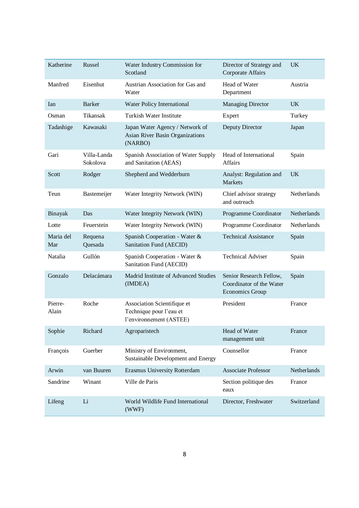| Katherine        | Russel                  | Water Industry Commission for<br>Scotland                                         | Director of Strategy and<br>Corporate Affairs                                 | <b>UK</b>   |
|------------------|-------------------------|-----------------------------------------------------------------------------------|-------------------------------------------------------------------------------|-------------|
| Manfred          | Eisenhut                | Austrian Association for Gas and<br>Water                                         | Head of Water<br>Department                                                   | Austria     |
| Ian              | <b>Barker</b>           | Water Policy International                                                        | <b>Managing Director</b>                                                      | <b>UK</b>   |
| Osman            | Tikansak                | Turkish Water Institute                                                           | Expert                                                                        | Turkey      |
| Tadashige        | Kawasaki                | Japan Water Agency / Network of<br>Asian River Basin Organizations<br>(NARBO)     | Deputy Director                                                               | Japan       |
| Gari             | Villa-Landa<br>Sokolova | Spanish Association of Water Supply<br>and Sanitation (AEAS)                      | Head of International<br><b>Affairs</b>                                       | Spain       |
| Scott            | Rodger                  | Shepherd and Wedderburn                                                           | Analyst: Regulation and<br>Markets                                            | <b>UK</b>   |
| Teun             | Bastemeijer             | Water Integrity Network (WIN)                                                     | Chief advisor strategy<br>and outreach                                        | Netherlands |
| Binayak          | Das                     | Water Integrity Network (WIN)                                                     | Programme Coordinator                                                         | Netherlands |
| Lotte            | Feuerstein              | Water Integrity Network (WIN)                                                     | Programme Coordinator                                                         | Netherlands |
| Maria del<br>Mar | Requena<br>Quesada      | Spanish Cooperation - Water &<br>Sanitation Fund (AECID)                          | <b>Technical Assistance</b>                                                   | Spain       |
| Natalia          | Gullón                  | Spanish Cooperation - Water &<br>Sanitation Fund (AECID)                          | <b>Technical Adviser</b>                                                      | Spain       |
| Gonzalo          | Delacámara              | Madrid Institute of Advanced Studies<br>(IMDEA)                                   | Senior Research Fellow,<br>Coordinator of the Water<br><b>Economics Group</b> | Spain       |
| Pierre-<br>Alain | Roche                   | Association Scientifique et<br>Technique pour l'eau et<br>l'environnement (ASTEE) | President                                                                     | France      |
| Sophie           | Richard                 | Agroparistech                                                                     | Head of Water<br>management unit                                              | France      |
| François         | Guerber                 | Ministry of Environment,<br>Sustainable Development and Energy                    | Counsellor                                                                    | France      |
| Arwin            | van Buuren              | Erasmus University Rotterdam                                                      | <b>Associate Professor</b>                                                    | Netherlands |
| Sandrine         | Winant                  | Ville de Paris                                                                    | Section politique des<br>eaux                                                 | France      |
| Lifeng           | Li                      | World Wildlife Fund International<br>(WWF)                                        | Director, Freshwater                                                          | Switzerland |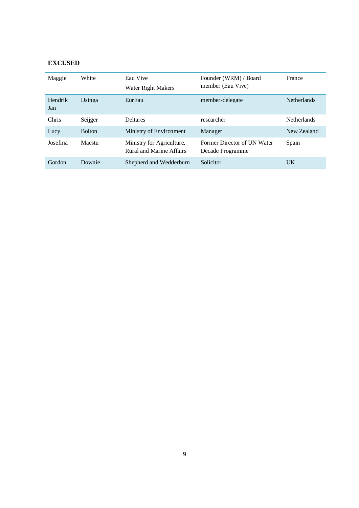## **EXCUSED**

| Maggie         | White           | Eau Vive<br>Water Right Makers                        | Founder (WRM) / Board<br>member (Eau Vive)      | France             |
|----------------|-----------------|-------------------------------------------------------|-------------------------------------------------|--------------------|
| Hendrik<br>Jan | <b>IJ</b> singa | EurEau                                                | member-delegate                                 | <b>Netherlands</b> |
| Chris          | Seijger         | <b>Deltares</b>                                       | researcher                                      | <b>Netherlands</b> |
| Lucy           | <b>Bolton</b>   | Ministry of Environment                               | Manager                                         | New Zealand        |
| Josefina       | Maestu          | Ministry for Agriculture,<br>Rural and Marine Affairs | Former Director of UN Water<br>Decade Programme | Spain              |
| Gordon         | Downie          | Shepherd and Wedderburn                               | Solicitor                                       | UK                 |